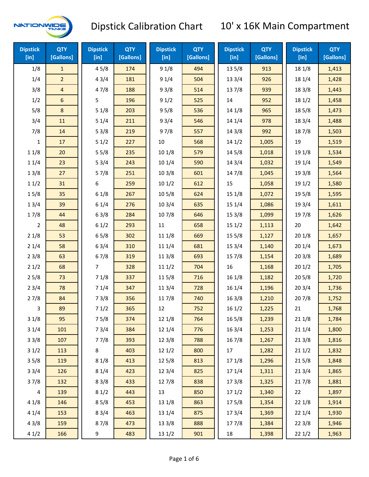

| <b>Dipstick</b><br>[in] | <b>QTY</b><br>[Gallons] | <b>Dipstick</b><br>[in] | <b>QTY</b><br>[Gallons] | <b>Dipstick</b><br>[in] | <b>QTY</b><br>[Gallons] | <b>Dipstick</b><br>[in] | <b>QTY</b><br>[Gallons] | <b>Dipstick</b><br>[in] | <b>QTY</b><br>[Gallons] |
|-------------------------|-------------------------|-------------------------|-------------------------|-------------------------|-------------------------|-------------------------|-------------------------|-------------------------|-------------------------|
| 1/8                     | $\mathbf{1}$            | 45/8                    | 174                     | 91/8                    | 494                     | 13 5/8                  | 913                     | 18 1/8                  | 1,413                   |
| 1/4                     | $\overline{2}$          | 43/4                    | 181                     | 91/4                    | 504                     | 133/4                   | 926                     | 18 1/4                  | 1,428                   |
| 3/8                     | $\overline{4}$          | 47/8                    | 188                     | 93/8                    | 514                     | 137/8                   | 939                     | 18 3/8                  | 1,443                   |
| 1/2                     | $\boldsymbol{6}$        | 5                       | 196                     | 91/2                    | 525                     | 14                      | 952                     | 18 1/2                  | 1,458                   |
| 5/8                     | $8\phantom{1}$          | 51/8                    | 203                     | 95/8                    | 536                     | 14 1/8                  | 965                     | 185/8                   | 1,473                   |
| 3/4                     | 11                      | 51/4                    | 211                     | 93/4                    | 546                     | 14 1/4                  | 978                     | 18 3/4                  | 1,488                   |
| 7/8                     | 14                      | 53/8                    | 219                     | 97/8                    | 557                     | 14 3/8                  | 992                     | 187/8                   | 1,503                   |
| 1                       | 17                      | 51/2                    | 227                     | 10                      | 568                     | 141/2                   | 1,005                   | 19                      | 1,519                   |
| 11/8                    | 20                      | 55/8                    | 235                     | 101/8                   | 579                     | 145/8                   | 1,018                   | 19 1/8                  | 1,534                   |
| 11/4                    | 23                      | 53/4                    | 243                     | 101/4                   | 590                     | 143/4                   | 1,032                   | 19 1/4                  | 1,549                   |
| 13/8                    | 27                      | 57/8                    | 251                     | 103/8                   | 601                     | 147/8                   | 1,045                   | 19 3/8                  | 1,564                   |
| 11/2                    | 31                      | 6                       | 259                     | 101/2                   | 612                     | 15                      | 1,058                   | 19 1/2                  | 1,580                   |
| 15/8                    | 35                      | 61/8                    | 267                     | 10 <sub>5/8</sub>       | 624                     | 15 1/8                  | 1,072                   | 195/8                   | 1,595                   |
| 13/4                    | 39                      | 61/4                    | 276                     | 103/4                   | 635                     | 151/4                   | 1,086                   | 19 3/4                  | 1,611                   |
| 17/8                    | 44                      | 63/8                    | 284                     | 107/8                   | 646                     | 153/8                   | 1,099                   | 197/8                   | 1,626                   |
| 2                       | 48                      | 61/2                    | 293                     | 11                      | 658                     | 151/2                   | 1,113                   | 20                      | 1,642                   |
| 21/8                    | 53                      | 65/8                    | 302                     | 11 1/8                  | 669                     | 15 5/8                  | 1,127                   | 201/8                   | 1,657                   |
| 21/4                    | 58                      | 63/4                    | 310                     | 11 1/4                  | 681                     | 153/4                   | 1,140                   | 201/4                   | 1,673                   |
| 23/8                    | 63                      | 67/8                    | 319                     | 11 3/8                  | 693                     | 15 7/8                  | 1,154                   | 203/8                   | 1,689                   |
| 21/2                    | 68                      | $\overline{7}$          | 328                     | 111/2                   | 704                     | 16                      | 1,168                   | 201/2                   | 1,705                   |
| 25/8                    | 73                      | 71/8                    | 337                     | 115/8                   | 716                     | 16 1/8                  | 1,182                   | 205/8                   | 1,720                   |
| 23/4                    | 78                      | 71/4                    | 347                     | 113/4                   | 728                     | 161/4                   | 1,196                   | 203/4                   | 1,736                   |
| 27/8                    | 84                      | 73/8                    | 356                     | 11 7/8                  | 740                     | 163/8                   | 1,210                   | 207/8                   | 1,752                   |
| 3                       | 89                      | 71/2                    | 365                     | 12                      | 752                     | 161/2                   | 1,225                   | 21                      | 1,768                   |
| 31/8                    | 95                      | 75/8                    | 374                     | 12 1/8                  | 764                     | 16 5/8                  | 1,239                   | 211/8                   | 1,784                   |
| 31/4                    | 101                     | 73/4                    | 384                     | 12 1/4                  | 776                     | 16 3/4                  | 1,253                   | 211/4                   | 1,800                   |
| 33/8                    | 107                     | 77/8                    | 393                     | 12 3/8                  | 788                     | 16 7/8                  | 1,267                   | 213/8                   | 1,816                   |
| 31/2                    | 113                     | 8                       | 403                     | 121/2                   | 800                     | 17                      | 1,282                   | 211/2                   | 1,832                   |
| 35/8                    | 119                     | 81/8                    | 413                     | 125/8                   | 813                     | 17 1/8                  | 1,296                   | 215/8                   | 1,848                   |
| 33/4                    | 126                     | 81/4                    | 423                     | 12 3/4                  | 825                     | 17 1/4                  | 1,311                   | 213/4                   | 1,865                   |
| 37/8                    | 132                     | 83/8                    | 433                     | 127/8                   | 838                     | 173/8                   | 1,325                   | 217/8                   | 1,881                   |
| 4                       | 139                     | 81/2                    | 443                     | 13                      | 850                     | 171/2                   | 1,340                   | 22                      | 1,897                   |
| 41/8                    | 146                     | 85/8                    | 453                     | 13 1/8                  | 863                     | 175/8                   | 1,354                   | 22 1/8                  | 1,914                   |
| 41/4                    | 153                     | 83/4                    | 463                     | 13 1/4                  | 875                     | 17 3/4                  | 1,369                   | 221/4                   | 1,930                   |
| 43/8                    | 159                     | 87/8                    | 473                     | 13 3/8                  | 888                     | 177/8                   | 1,384                   | 223/8                   | 1,946                   |
| 41/2                    | 166                     | 9                       | 483                     | 13 1/2                  | 901                     | 18                      | 1,398                   | 221/2                   | 1,963                   |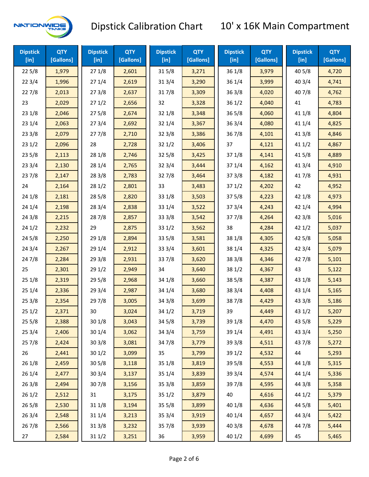

| <b>Dipstick</b><br>$[$ in] | <b>QTY</b><br>[Gallons] | <b>Dipstick</b><br>$[$ in] | <b>QTY</b><br>[Gallons] | <b>Dipstick</b><br>$[$ in] | <b>QTY</b><br>[Gallons] | <b>Dipstick</b><br>$[$ in] | <b>QTY</b><br>[Gallons] | <b>Dipstick</b><br>$[$ in] | <b>QTY</b><br>[Gallons] |
|----------------------------|-------------------------|----------------------------|-------------------------|----------------------------|-------------------------|----------------------------|-------------------------|----------------------------|-------------------------|
| 225/8                      | 1,979                   | 271/8                      | 2,601                   | 315/8                      | 3,271                   | 36 1/8                     | 3,979                   | 40 5/8                     | 4,720                   |
| 223/4                      | 1,996                   | 271/4                      | 2,619                   | 31 3/4                     | 3,290                   | 36 1/4                     | 3,999                   | 40 3/4                     | 4,741                   |
| 227/8                      | 2,013                   | 273/8                      | 2,637                   | 317/8                      | 3,309                   | 363/8                      | 4,020                   | 407/8                      | 4,762                   |
| 23                         | 2,029                   | 271/2                      | 2,656                   | 32                         | 3,328                   | 361/2                      | 4,040                   | 41                         | 4,783                   |
| 231/8                      | 2,046                   | 275/8                      | 2,674                   | 32 1/8                     | 3,348                   | $36\,5/8$                  | 4,060                   | 41 1/8                     | 4,804                   |
| 231/4                      | 2,063                   | 273/4                      | 2,692                   | 32 1/4                     | 3,367                   | 363/4                      | 4,080                   | 41 1/4                     | 4,825                   |
| 233/8                      | 2,079                   | 277/8                      | 2,710                   | 32 3/8                     | 3,386                   | 36 7/8                     | 4,101                   | 41 3/8                     | 4,846                   |
| 231/2                      | 2,096                   | 28                         | 2,728                   | 321/2                      | 3,406                   | 37                         | 4,121                   | 411/2                      | 4,867                   |
| 235/8                      | 2,113                   | 28 1/8                     | 2,746                   | 325/8                      | 3,425                   | 371/8                      | 4,141                   | 41 5/8                     | 4,889                   |
| 233/4                      | 2,130                   | 28 1/4                     | 2,765                   | 32 3/4                     | 3,444                   | 37 1/4                     | 4,162                   | 41 3/4                     | 4,910                   |
| 237/8                      | 2,147                   | 28 3/8                     | 2,783                   | 327/8                      | 3,464                   | 373/8                      | 4,182                   | 417/8                      | 4,931                   |
| 24                         | 2,164                   | 281/2                      | 2,801                   | 33                         | 3,483                   | 371/2                      | 4,202                   | 42                         | 4,952                   |
| 24 1/8                     | 2,181                   | 28 5/8                     | 2,820                   | 33 1/8                     | 3,503                   | 375/8                      | 4,223                   | 42 1/8                     | 4,973                   |
| 241/4                      | 2,198                   | 28 3/4                     | 2,838                   | 33 1/4                     | 3,522                   | 373/4                      | 4,243                   | 42 1/4                     | 4,994                   |
| 243/8                      | 2,215                   | 28 7/8                     | 2,857                   | 33 3/8                     | 3,542                   | 377/8                      | 4,264                   | 42 3/8                     | 5,016                   |
| 241/2                      | 2,232                   | 29                         | 2,875                   | 33 1/2                     | 3,562                   | 38                         | 4,284                   | 421/2                      | 5,037                   |
| 245/8                      | 2,250                   | 29 1/8                     | 2,894                   | 33 5/8                     | 3,581                   | 38 1/8                     | 4,305                   | 42 5/8                     | 5,058                   |
| 243/4                      | 2,267                   | 29 1/4                     | 2,912                   | 33 3/4                     | 3,601                   | 38 1/4                     | 4,325                   | 42 3/4                     | 5,079                   |
| 24 7/8                     | 2,284                   | 293/8                      | 2,931                   | 337/8                      | 3,620                   | 38 3/8                     | 4,346                   | 42 7/8                     | 5,101                   |
| 25                         | 2,301                   | 291/2                      | 2,949                   | 34                         | 3,640                   | 38 1/2                     | 4,367                   | 43                         | 5,122                   |
| 251/8                      | 2,319                   | 29 5/8                     | 2,968                   | 34 1/8                     | 3,660                   | 385/8                      | 4,387                   | 43 1/8                     | 5,143                   |
| 251/4                      | 2,336                   | 29 3/4                     | 2,987                   | 34 1/4                     | 3,680                   | 38 3/4                     | 4,408                   | 43 1/4                     | 5,165                   |
| 253/8                      | 2,354                   | 297/8                      | 3,005                   | 34 3/8                     | 3,699                   | 387/8                      | 4,429                   | 43 3/8                     | 5,186                   |
| 251/2                      | 2,371                   | 30                         | 3,024                   | 34 1/2                     | 3,719                   | 39                         | 4,449                   | 43 1/2                     | 5,207                   |
| 255/8                      | 2,388                   | 301/8                      | 3,043                   | 34 5/8                     | 3,739                   | 39 1/8                     | 4,470                   | 43 5/8                     | 5,229                   |
| 253/4                      | 2,406                   | 30 1/4                     | 3,062                   | 34 3/4                     | 3,759                   | 39 1/4                     | 4,491                   | 43 3/4                     | 5,250                   |
| 257/8                      | 2,424                   | 303/8                      | 3,081                   | 347/8                      | 3,779                   | 39 3/8                     | 4,511                   | 437/8                      | 5,272                   |
| 26                         | 2,441                   | 301/2                      | 3,099                   | 35                         | 3,799                   | 39 1/2                     | 4,532                   | 44                         | 5,293                   |
| 26 1/8                     | 2,459                   | 30 5/8                     | 3,118                   | 35 1/8                     | 3,819                   | 39 5/8                     | 4,553                   | 44 1/8                     | 5,315                   |
| 26 1/4                     | 2,477                   | 30 3/4                     | 3,137                   | 35 1/4                     | 3,839                   | 39 3/4                     | 4,574                   | 44 1/4                     | 5,336                   |
| 263/8                      | 2,494                   | 307/8                      | 3,156                   | 35 3/8                     | 3,859                   | 397/8                      | 4,595                   | 44 3/8                     | 5,358                   |
| 261/2                      | 2,512                   | 31                         | 3,175                   | 35 1/2                     | 3,879                   | 40                         | 4,616                   | 44 1/2                     | 5,379                   |
| 265/8                      | 2,530                   | 31 1/8                     | 3,194                   | 35 5/8                     | 3,899                   | 40 1/8                     | 4,636                   | 44 5/8                     | 5,401                   |
| 263/4                      | 2,548                   | 31 1/4                     | 3,213                   | 35 3/4                     | 3,919                   | 40 1/4                     | 4,657                   | 44 3/4                     | 5,422                   |
| 267/8                      | 2,566                   | 31 3/8                     | 3,232                   | 357/8                      | 3,939                   | 40 3/8                     | 4,678                   | 447/8                      | 5,444                   |
| 27                         | 2,584                   | 31 1/2                     | 3,251                   | 36                         | 3,959                   | 40 1/2                     | 4,699                   | 45                         | 5,465                   |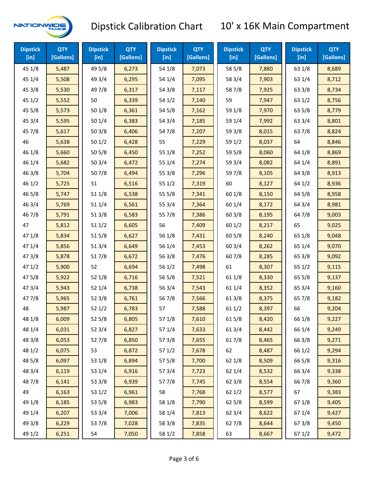

| <b>Dipstick</b><br>$[$ in] | <b>QTY</b><br>[Gallons] | <b>Dipstick</b><br>$[$ in] | <b>QTY</b><br>[Gallons] | <b>Dipstick</b><br>$[$ in] | <b>QTY</b><br>[Gallons] | <b>Dipstick</b><br>$[$ in] | <b>QTY</b><br>[Gallons] | <b>Dipstick</b><br>$[$ in] | <b>QTY</b><br>[Gallons] |
|----------------------------|-------------------------|----------------------------|-------------------------|----------------------------|-------------------------|----------------------------|-------------------------|----------------------------|-------------------------|
| 45 1/8                     | 5,487                   | 49 5/8                     | 6,273                   | 54 1/8                     | 7,073                   | 58 5/8                     | 7,880                   | 63 1/8                     | 8,689                   |
| 45 1/4                     | 5,508                   | 49 3/4                     | 6,295                   | 54 1/4                     | 7,095                   | 58 3/4                     | 7,903                   | 63 1/4                     | 8,712                   |
| 45 3/8                     | 5,530                   | 49 7/8                     | 6,317                   | 54 3/8                     | 7,117                   | 587/8                      | 7,925                   | 63 3/8                     | 8,734                   |
| 451/2                      | 5,552                   | 50                         | 6,339                   | 54 1/2                     | 7,140                   | 59                         | 7,947                   | 63 1/2                     | 8,756                   |
| 45 5/8                     | 5,573                   | 50 1/8                     | 6,361                   | 54 5/8                     | 7,162                   | 59 1/8                     | 7,970                   | 63 5/8                     | 8,779                   |
| 45 3/4                     | 5,595                   | 501/4                      | 6,383                   | 54 3/4                     | 7,185                   | 59 1/4                     | 7,992                   | 63 3/4                     | 8,801                   |
| 45 7/8                     | 5,617                   | 503/8                      | 6,406                   | 54 7/8                     | 7,207                   | 59 3/8                     | 8,015                   | 637/8                      | 8,824                   |
| 46                         | 5,638                   | 501/2                      | 6,428                   | 55                         | 7,229                   | 59 1/2                     | 8,037                   | 64                         | 8,846                   |
| 46 1/8                     | 5,660                   | 505/8                      | 6,450                   | 55 1/8                     | 7,252                   | 59 5/8                     | 8,060                   | 64 1/8                     | 8,869                   |
| 46 1/4                     | 5,682                   | 50 3/4                     | 6,472                   | 55 1/4                     | 7,274                   | 59 3/4                     | 8,082                   | 64 1/4                     | 8,891                   |
| 46 3/8                     | 5,704                   | 507/8                      | 6,494                   | 55 3/8                     | 7,296                   | 59 7/8                     | 8,105                   | 64 3/8                     | 8,913                   |
| 46 1/2                     | 5,725                   | 51                         | 6,516                   | 55 1/2                     | 7,319                   | 60                         | 8,127                   | 64 1/2                     | 8,936                   |
| 46 5/8                     | 5,747                   | 51 1/8                     | 6,538                   | 55 5/8                     | 7,341                   | 60 1/8                     | 8,150                   | 64 5/8                     | 8,958                   |
| 46 3/4                     | 5,769                   | 51 1/4                     | 6,561                   | 55 3/4                     | 7,364                   | 60 1/4                     | 8,172                   | 64 3/4                     | 8,981                   |
| 46 7/8                     | 5,791                   | 513/8                      | 6,583                   | 55 7/8                     | 7,386                   | 60 3/8                     | 8,195                   | 64 7/8                     | 9,003                   |
| 47                         | 5,812                   | 511/2                      | 6,605                   | 56                         | 7,409                   | 601/2                      | 8,217                   | 65                         | 9,025                   |
| 47 1/8                     | 5,834                   | 515/8                      | 6,627                   | 56 1/8                     | 7,431                   | 60 5/8                     | 8,240                   | 65 1/8                     | 9,048                   |
| 47 1/4                     | 5,856                   | 51 3/4                     | 6,649                   | 56 1/4                     | 7,453                   | 60 3/4                     | 8,262                   | 65 1/4                     | 9,070                   |
| 47 3/8                     | 5,878                   | 517/8                      | 6,672                   | 56 3/8                     | 7,476                   | 60 7/8                     | 8,285                   | 65 3/8                     | 9,092                   |
| 471/2                      | 5,900                   | 52                         | 6,694                   | 56 1/2                     | 7,498                   | 61                         | 8,307                   | 65 1/2                     | 9,115                   |
| 475/8                      | 5,922                   | 52 1/8                     | 6,716                   | 56 5/8                     | 7,521                   | 61 1/8                     | 8,330                   | 65 5/8                     | 9,137                   |
| 47 3/4                     | 5,943                   | 52 1/4                     | 6,738                   | 56 3/4                     | 7,543                   | 61 1/4                     | 8,352                   | 65 3/4                     | 9,160                   |
| 47 7/8                     | 5,965                   | 52 3/8                     | 6,761                   | 567/8                      | 7,566                   | 61 3/8                     | 8,375                   | 65 7/8                     | 9,182                   |
| 48                         | 5,987                   | 521/2                      | 6,783                   | 57                         | 7,588                   | 611/2                      | 8,397                   | 66                         | 9,204                   |
| 48 1/8                     | 6,009                   | 52 5/8                     | 6,805                   | 57 1/8                     | 7,610                   | 615/8                      | 8,420                   | 66 1/8                     | 9,227                   |
| 48 1/4                     | 6,031                   | 52 3/4                     | 6,827                   | 57 1/4                     | 7,633                   | 61 3/4                     | 8,442                   | 66 1/4                     | 9,249                   |
| 48 3/8                     | 6,053                   | 527/8                      | 6,850                   | 57 3/8                     | 7,655                   | 617/8                      | 8,465                   | 66 3/8                     | 9,271                   |
| 48 1/2                     | 6,075                   | 53                         | 6,872                   | 57 1/2                     | 7,678                   | 62                         | 8,487                   | 66 1/2                     | 9,294                   |
| 48 5/8                     | 6,097                   | 53 1/8                     | 6,894                   | 57 5/8                     | 7,700                   | 62 1/8                     | 8,509                   | 66 5/8                     | 9,316                   |
| 48 3/4                     | 6,119                   | 53 1/4                     | 6,916                   | 573/4                      | 7,723                   | 62 1/4                     | 8,532                   | 66 3/4                     | 9,338                   |
| 487/8                      | 6,141                   | 53 3/8                     | 6,939                   | 577/8                      | 7,745                   | 62 3/8                     | 8,554                   | 667/8                      | 9,360                   |
| 49                         | 6,163                   | 53 1/2                     | 6,961                   | 58                         | 7,768                   | 621/2                      | 8,577                   | 67                         | 9,383                   |
| 49 1/8                     | 6,185                   | 53 5/8                     | 6,983                   | 58 1/8                     | 7,790                   | 62 5/8                     | 8,599                   | 671/8                      | 9,405                   |
| 49 1/4                     | 6,207                   | 53 3/4                     | 7,006                   | 58 1/4                     | 7,813                   | 62 3/4                     | 8,622                   | 671/4                      | 9,427                   |
| 49 3/8                     | 6,229                   | 537/8                      | 7,028                   | 58 3/8                     | 7,835                   | 627/8                      | 8,644                   | 673/8                      | 9,450                   |
| 49 1/2                     | 6,251                   | 54                         | 7,050                   | 58 1/2                     | 7,858                   | 63                         | 8,667                   | 67 1/2                     | 9,472                   |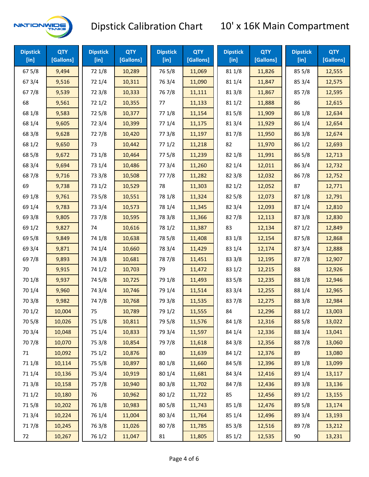

| <b>Dipstick</b><br>$[$ in] | <b>QTY</b><br>[Gallons] | <b>Dipstick</b><br>$[$ in] | <b>QTY</b><br>[Gallons] | <b>Dipstick</b><br>$[$ in] | <b>QTY</b><br>[Gallons] | <b>Dipstick</b><br>$[$ in] | <b>QTY</b><br>[Gallons] | <b>Dipstick</b><br>[in] | <b>QTY</b><br>[Gallons] |
|----------------------------|-------------------------|----------------------------|-------------------------|----------------------------|-------------------------|----------------------------|-------------------------|-------------------------|-------------------------|
| 67 5/8                     | 9,494                   | 72 1/8                     | 10,289                  | 765/8                      | 11,069                  | 81 1/8                     | 11,826                  | 85 5/8                  | 12,555                  |
| 67 3/4                     | 9,516                   | 72 1/4                     | 10,311                  | 763/4                      | 11,090                  | 81 1/4                     | 11,847                  | 85 3/4                  | 12,575                  |
| 677/8                      | 9,539                   | 72 3/8                     | 10,333                  | 767/8                      | 11,111                  | 81 3/8                     | 11,867                  | 85 7/8                  | 12,595                  |
| 68                         | 9,561                   | 72 1/2                     | 10,355                  | 77                         | 11,133                  | 811/2                      | 11,888                  | 86                      | 12,615                  |
| 68 1/8                     | 9,583                   | 725/8                      | 10,377                  | 77 1/8                     | 11,154                  | 815/8                      | 11,909                  | 86 1/8                  | 12,634                  |
| 68 1/4                     | 9,605                   | 72 3/4                     | 10,399                  | 77 1/4                     | 11,175                  | 813/4                      | 11,929                  | 86 1/4                  | 12,654                  |
| 68 3/8                     | 9,628                   | 727/8                      | 10,420                  | 77 3/8                     | 11,197                  | 817/8                      | 11,950                  | 86 3/8                  | 12,674                  |
| 68 1/2                     | 9,650                   | 73                         | 10,442                  | 771/2                      | 11,218                  | 82                         | 11,970                  | 86 1/2                  | 12,693                  |
| 68 5/8                     | 9,672                   | 73 1/8                     | 10,464                  | 775/8                      | 11,239                  | 82 1/8                     | 11,991                  | 86 5/8                  | 12,713                  |
| 68 3/4                     | 9,694                   | 73 1/4                     | 10,486                  | 773/4                      | 11,260                  | 82 1/4                     | 12,011                  | 86 3/4                  | 12,732                  |
| 687/8                      | 9,716                   | 73 3/8                     | 10,508                  | 777/8                      | 11,282                  | 82 3/8                     | 12,032                  | 867/8                   | 12,752                  |
| 69                         | 9,738                   | 73 1/2                     | 10,529                  | 78                         | 11,303                  | 821/2                      | 12,052                  | 87                      | 12,771                  |
| 69 1/8                     | 9,761                   | 73 5/8                     | 10,551                  | 78 1/8                     | 11,324                  | 825/8                      | 12,073                  | 871/8                   | 12,791                  |
| 69 1/4                     | 9,783                   | 73 3/4                     | 10,573                  | 78 1/4                     | 11,345                  | 82 3/4                     | 12,093                  | 871/4                   | 12,810                  |
| 69 3/8                     | 9,805                   | 737/8                      | 10,595                  | 78 3/8                     | 11,366                  | 827/8                      | 12,113                  | 87 3/8                  | 12,830                  |
| 69 1/2                     | 9,827                   | 74                         | 10,616                  | 78 1/2                     | 11,387                  | 83                         | 12,134                  | 871/2                   | 12,849                  |
| 69 5/8                     | 9,849                   | 74 1/8                     | 10,638                  | 78 5/8                     | 11,408                  | 83 1/8                     | 12,154                  | 875/8                   | 12,868                  |
| 69 3/4                     | 9,871                   | 74 1/4                     | 10,660                  | 78 3/4                     | 11,429                  | 83 1/4                     | 12,174                  | 87 3/4                  | 12,888                  |
| 697/8                      | 9,893                   | 74 3/8                     | 10,681                  | 787/8                      | 11,451                  | 83 3/8                     | 12,195                  | 877/8                   | 12,907                  |
| 70                         | 9,915                   | 74 1/2                     | 10,703                  | 79                         | 11,472                  | 83 1/2                     | 12,215                  | 88                      | 12,926                  |
| 70 1/8                     | 9,937                   | 74 5/8                     | 10,725                  | 79 1/8                     | 11,493                  | 83 5/8                     | 12,235                  | 88 1/8                  | 12,946                  |
| 70 1/4                     | 9,960                   | 74 3/4                     | 10,746                  | 79 1/4                     | 11,514                  | 83 3/4                     | 12,255                  | 88 1/4                  | 12,965                  |
| 70 3/8                     | 9,982                   | 747/8                      | 10,768                  | 79 3/8                     | 11,535                  | 837/8                      | 12,275                  | 88 3/8                  | 12,984                  |
| 70 1/2                     | 10,004                  | 75                         | 10,789                  | 79 1/2                     | 11,555                  | 84                         | 12,296                  | 88 1/2                  | 13,003                  |
| 70 5/8                     | 10,026                  | 75 1/8                     | 10,811                  | 79 5/8                     | 11,576                  | 84 1/8                     | 12,316                  | 88 5/8                  | 13,022                  |
| 70 3/4                     | 10,048                  | 75 1/4                     | 10,833                  | 79 3/4                     | 11,597                  | 84 1/4                     | 12,336                  | 88 3/4                  | 13,041                  |
| 70 7/8                     | 10,070                  | 75 3/8                     | 10,854                  | 79 7/8                     | 11,618                  | 84 3/8                     | 12,356                  | 887/8                   | 13,060                  |
| 71                         | 10,092                  | 75 1/2                     | 10,876                  | 80                         | 11,639                  | 84 1/2                     | 12,376                  | 89                      | 13,080                  |
| 71 1/8                     | 10,114                  | 75 5/8                     | 10,897                  | 80 1/8                     | 11,660                  | 845/8                      | 12,396                  | 89 1/8                  | 13,099                  |
| 71 1/4                     | 10,136                  | 75 3/4                     | 10,919                  | 80 1/4                     | 11,681                  | 84 3/4                     | 12,416                  | 89 1/4                  | 13,117                  |
| 713/8                      | 10,158                  | 75 7/8                     | 10,940                  | 803/8                      | 11,702                  | 847/8                      | 12,436                  | 89 3/8                  | 13,136                  |
| 71 1/2                     | 10,180                  | 76                         | 10,962                  | 80 1/2                     | 11,722                  | 85                         | 12,456                  | 89 1/2                  | 13,155                  |
| 715/8                      | 10,202                  | 76 1/8                     | 10,983                  | 80 5/8                     | 11,743                  | 85 1/8                     | 12,476                  | 89 5/8                  | 13,174                  |
| 713/4                      | 10,224                  | 76 1/4                     | 11,004                  | 80 3/4                     | 11,764                  | 85 1/4                     | 12,496                  | 89 3/4                  | 13,193                  |
| 717/8                      | 10,245                  | 763/8                      | 11,026                  | 807/8                      | 11,785                  | 85 3/8                     | 12,516                  | 897/8                   | 13,212                  |
| 72                         | 10,267                  | 76 1/2                     | 11,047                  | 81                         | 11,805                  | 85 1/2                     | 12,535                  | 90                      | 13,231                  |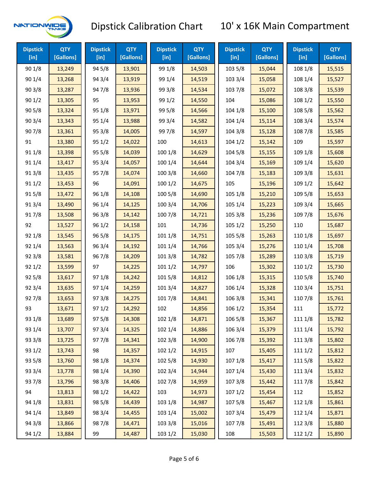

| <b>Dipstick</b><br>$[$ in] | <b>QTY</b><br>[Gallons] | <b>Dipstick</b><br>[in] | <b>QTY</b><br>[Gallons] | <b>Dipstick</b><br>$[$ in] | <b>QTY</b><br>[Gallons] | <b>Dipstick</b><br>$[$ in] | <b>QTY</b><br>[Gallons] | <b>Dipstick</b><br>[in] | <b>QTY</b><br>[Gallons] |
|----------------------------|-------------------------|-------------------------|-------------------------|----------------------------|-------------------------|----------------------------|-------------------------|-------------------------|-------------------------|
| 90 1/8                     | 13,249                  | 94 5/8                  | 13,901                  | 99 1/8                     | 14,503                  | 103 5/8                    | 15,044                  | 108 1/8                 | 15,515                  |
| 90 1/4                     | 13,268                  | 94 3/4                  | 13,919                  | 99 1/4                     | 14,519                  | 103 3/4                    | 15,058                  | 108 1/4                 | 15,527                  |
| 90 3/8                     | 13,287                  | 947/8                   | 13,936                  | 99 3/8                     | 14,534                  | 103 7/8                    | 15,072                  | 108 3/8                 | 15,539                  |
| 90 1/2                     | 13,305                  | 95                      | 13,953                  | 99 1/2                     | 14,550                  | 104                        | 15,086                  | 108 1/2                 | 15,550                  |
| 90 5/8                     | 13,324                  | 95 1/8                  | 13,971                  | 99 5/8                     | 14,566                  | 104 1/8                    | 15,100                  | 108 5/8                 | 15,562                  |
| 90 3/4                     | 13,343                  | 95 1/4                  | 13,988                  | 99 3/4                     | 14,582                  | 104 1/4                    | 15,114                  | 108 3/4                 | 15,574                  |
| 907/8                      | 13,361                  | 95 3/8                  | 14,005                  | 997/8                      | 14,597                  | 104 3/8                    | 15,128                  | 108 7/8                 | 15,585                  |
| 91                         | 13,380                  | 95 1/2                  | 14,022                  | 100                        | 14,613                  | 1041/2                     | 15,142                  | 109                     | 15,597                  |
| 91 1/8                     | 13,398                  | 95 5/8                  | 14,039                  | 100 1/8                    | 14,629                  | 104 5/8                    | 15,155                  | 109 1/8                 | 15,608                  |
| 91 1/4                     | 13,417                  | 95 3/4                  | 14,057                  | 100 1/4                    | 14,644                  | 104 3/4                    | 15,169                  | 109 1/4                 | 15,620                  |
| 913/8                      | 13,435                  | 957/8                   | 14,074                  | 100 3/8                    | 14,660                  | 104 7/8                    | 15,183                  | 109 3/8                 | 15,631                  |
| 91 1/2                     | 13,453                  | 96                      | 14,091                  | 1001/2                     | 14,675                  | 105                        | 15,196                  | 109 1/2                 | 15,642                  |
| 915/8                      | 13,472                  | 96 1/8                  | 14,108                  | 100 5/8                    | 14,690                  | 105 1/8                    | 15,210                  | 109 5/8                 | 15,653                  |
| 913/4                      | 13,490                  | 96 1/4                  | 14,125                  | 1003/4                     | 14,706                  | 105 1/4                    | 15,223                  | 109 3/4                 | 15,665                  |
| 917/8                      | 13,508                  | 96 3/8                  | 14,142                  | 100 7/8                    | 14,721                  | 105 3/8                    | 15,236                  | 109 7/8                 | 15,676                  |
| 92                         | 13,527                  | 96 1/2                  | 14,158                  | 101                        | 14,736                  | 105 1/2                    | 15,250                  | 110                     | 15,687                  |
| 92 1/8                     | 13,545                  | 96 5/8                  | 14,175                  | 101 1/8                    | 14,751                  | 105 5/8                    | 15,263                  | 110 1/8                 | 15,697                  |
| 92 1/4                     | 13,563                  | 96 3/4                  | 14,192                  | 101 1/4                    | 14,766                  | 105 3/4                    | 15,276                  | 110 1/4                 | 15,708                  |
| 92 3/8                     | 13,581                  | 967/8                   | 14,209                  | 1013/8                     | 14,782                  | 105 7/8                    | 15,289                  | 110 3/8                 | 15,719                  |
| 92 1/2                     | 13,599                  | 97                      | 14,225                  | 1011/2                     | 14,797                  | 106                        | 15,302                  | 110 1/2                 | 15,730                  |
| 925/8                      | 13,617                  | 97 1/8                  | 14,242                  | 101 5/8                    | 14,812                  | 106 1/8                    | 15,315                  | 110 5/8                 | 15,740                  |
| 92 3/4                     | 13,635                  | 97 1/4                  | 14,259                  | 101 3/4                    | 14,827                  | 106 1/4                    | 15,328                  | 110 3/4                 | 15,751                  |
| 927/8                      | 13,653                  | 973/8                   | 14,275                  | 101 7/8                    | 14,841                  | 106 3/8                    | 15,341                  | 110 7/8                 | 15,761                  |
| 93                         | 13,671                  | 97 1/2                  | 14,292                  | 102                        | 14,856                  | 1061/2                     | 15,354                  | 111                     | 15,772                  |
| 93 1/8                     | 13,689                  | 97 5/8                  | 14,308                  | 102 1/8                    | 14,871                  | 106 5/8                    | 15,367                  | 111 1/8                 | 15,782                  |
| 93 1/4                     | 13,707                  | 973/4                   | 14,325                  | 102 1/4                    | 14,886                  | 106 3/4                    | 15,379                  | 111 1/4                 | 15,792                  |
| 93 3/8                     | 13,725                  | 977/8                   | 14,341                  | 102 3/8                    | 14,900                  | 106 7/8                    | 15,392                  | 111 3/8                 | 15,802                  |
| 93 1/2                     | 13,743                  | 98                      | 14,357                  | 102 1/2                    | 14,915                  | 107                        | 15,405                  | 111 1/2                 | 15,812                  |
| 93 5/8                     | 13,760                  | 98 1/8                  | 14,374                  | 102 5/8                    | 14,930                  | 107 1/8                    | 15,417                  | 1115/8                  | 15,822                  |
| 93 3/4                     | 13,778                  | 98 1/4                  | 14,390                  | 102 3/4                    | 14,944                  | 107 1/4                    | 15,430                  | 111 3/4                 | 15,832                  |
| 937/8                      | 13,796                  | 98 3/8                  | 14,406                  | 102 7/8                    | 14,959                  | 107 3/8                    | 15,442                  | 111 7/8                 | 15,842                  |
| 94                         | 13,813                  | 98 1/2                  | 14,422                  | 103                        | 14,973                  | 1071/2                     | 15,454                  | 112                     | 15,852                  |
| 94 1/8                     | 13,831                  | 98 5/8                  | 14,439                  | 103 1/8                    | 14,987                  | 1075/8                     | 15,467                  | 112 1/8                 | 15,861                  |
| 94 1/4                     | 13,849                  | 98 3/4                  | 14,455                  | 103 1/4                    | 15,002                  | 107 3/4                    | 15,479                  | 112 1/4                 | 15,871                  |
| 94 3/8                     | 13,866                  | 987/8                   | 14,471                  | 103 3/8                    | 15,016                  | 1077/8                     | 15,491                  | 112 3/8                 | 15,880                  |
| 94 1/2                     | 13,884                  | 99                      | 14,487                  | 103 1/2                    | 15,030                  | 108                        | 15,503                  | 112 1/2                 | 15,890                  |